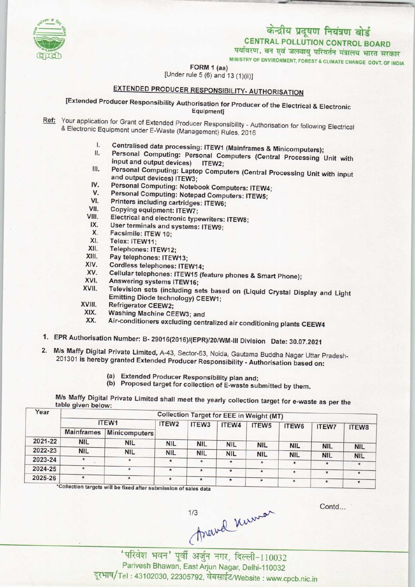

पर्यावरण, वन एवं जलवायु परिवर्तन मंत्रालय भारत सरकार<br>MINISTRY OF ENVIRONMENT, FOREST & CLIMATE CHANGE GOVT. OF INDIA

FORM 1 (aa)

[Under rule  $5(6)$  and  $13(1)(ii)$ ]

## EXTENDED PRODUCER RESPONSIBILITY- AUTHORISATION

[Extended Producer Responsibility Authorisation for Producer of the Electrical & Electronic Equipment]

- Ref: Your application for Grant of Extended Producer Responsibility Authorisation for following Electrical & Electronic Equipment under E-Waste (Management) Rules, 2016
	- I. Centralised data processing: ITEW1 (Mainframes & Minicomputers);<br>II. Personal Computing: Personal Computers (Outlied Lines)
	- Personal Computing: Personal Computers (Central Processing Unit with input and output devices) ITEW2; II. Personal Computing: Personal Computers (Central Processing Unit with<br>input and output devices) ITEW2;<br>III. Personal Computing: Laptop Computers (Central Processing Unit with input<br>and output devices) ITEW2:
	- and output devices) ITEW3; III. Personal Computing: Laptop Computers (Central F<br>and output devices) ITEW3;<br>IV. Personal Computing: Notebook Computers: ITEW4;<br>V. Personal Computing: Notebook Computers: ITEW4;
	-
	- IV. Personal Computing: Notebook Computers: ITEW4;<br>V. Personal Computing: Notepad Computers: ITEW5;<br>VI. Printers including cartridges: ITEWs.
	- IV. Personal Computing: Notebook Com<br>V. Personal Computing: Notepad Comp<br>VI. Printers including cartridges: ITEW6;<br>VII. Conving equipment: ITEW7. V. Personal Computing: Notep<br>VI. Printers including cartridge<br>VII. Copying equipment: ITEW7;<br>VIII. Electrical and electronic type
	-
	- VI. Printers including cartridges: ITEW6;<br>VII. Copying equipment: ITEW7;<br>VIII. Electrical and electronic typewriters: ITEW8;<br>IX. User terminals and overters: ITEW8; VII. Copying equipment: ITEW7;<br>
	III. Electrical and electronic typewriters<br>
	IX. User terminals and systems: ITEW9;<br>
	X. Eacsimile: ITEW 40; III. Electrical and electrons<br>X. User terminals and<br>X. Facsimile: ITEW 10;<br>XI. Telex: ITEW 11;
	- IX. User terminals and systems: ITEW9;<br>X. Facsimile: ITEW 10;<br>XI. Telex: ITEW11;<br>XII. Telephones: ITEW12;<br>XIII. Pav telephones: ITEW13;
	- X. Facsimile: ITEW 10;<br>XI. Telex: ITEW11;<br>XII. Telephones: ITEW12
	-
	-
	- XIII. Pay telephones: ITEW13;<br>XIV. Cordless telephones: ITE
	- XIV. Cordless telephones: ITEW14;<br>XV. Cellular telephones: ITEW15 (6) XIV. Cordless telephones: ITEW1<br>XV. Cellular telephones: ITEW15<br>XVI. Answering systems ITEW16;<br>XVII. Television sets (including of
	- XIII. Pay telephones: ITEW13;<br>XIV. Cordiess telephones: ITEW14;<br>XV. Cellular telephones: ITEW15 (feature phones & Smart Phone);<br>XVI. Answering suctam: ITEW16;
	-
	- XV. Cellular telephones: ITEW15 (feature phones & Smart Phone);<br>XVI. Answering systems ITEW16;<br>XVII. Television sets (including sets based on (Liquid Crystal Display and Light<br>Emitting Diode technology) CEEW4. Emitting Diode technology) CEEW1; XVII. Television sets (inc.<br>Emitting Diode techn<br>XVIII. Refrigerator CEEW2;<br>XIX. Washing Machine CE
	-
	- XVIII. Refrigerator CEEW2;<br>XIX. Washing Machine CEEW3; and<br>XX. Air-conditioners excluding cont
		- Air-conditioners excluding centralized air conditioning plants CEEW4
- 1.EPR Authorisation Number: B- 29016(2016)/(EPR)/20/WM-lll Division Date: 30.07.2021
- 2.M/s Maffy Digital Private Limited, A-43, Sector-63, Noida, Gautama Buddha Nagar Uttar Pradesh-201301 is hereby granted Extended Producer Responsibility - Authorisation based on:
	- (a) Extended Producer Responsibility plan and;
	- (b) Proposed target for collection of E-waste submitted by them.

M/s Maffy Digital Private Limited shall meet the yearly collection target for e-waste as per the table given below:

| Year    | <b>Collection Target for EEE in Weight (MT)</b> |                   |            |               |                   |            |              |              |                       |  |  |
|---------|-------------------------------------------------|-------------------|------------|---------------|-------------------|------------|--------------|--------------|-----------------------|--|--|
|         | ITEW1                                           | ITEW <sub>2</sub> | ITEW3      | ITEW4         | ITEW <sub>5</sub> | ITEW6      | <b>ITEW7</b> | <b>ITEW8</b> |                       |  |  |
|         | <b>Mainframes</b>                               | Minicomputers     |            |               |                   |            |              |              |                       |  |  |
| 2021-22 | <b>NIL</b>                                      | <b>NIL</b>        | <b>NIL</b> | <b>NIL</b>    | <b>NIL</b>        | <b>NIL</b> | <b>NIL</b>   | <b>NIL</b>   |                       |  |  |
| 2022-23 | <b>NIL</b>                                      | <b>NIL</b>        | <b>NIL</b> | <b>NIL</b>    | <b>NIL</b>        | <b>NIL</b> | <b>NIL</b>   | <b>NIL</b>   | <b>NIL</b>            |  |  |
| 2023-24 | $\star$                                         | $\star$           |            | $\star$       | $\star$           | $\star$    | $\star$      | $\star$      | <b>NIL</b><br>$\star$ |  |  |
| 2024-25 | $\star$                                         | $\ast$            | 食          | $\pmb{\star}$ | $\star$           | $\star$    | $\star$      | $\star$      | $\star$               |  |  |
| 2025-26 | $\star$                                         | $\star$           |            | $\star$       | $\star$           | $\ast$     | $\star$      | $\star$      | $\star$               |  |  |

ts will be fixed after submission of sales data

Contd...

thewel Kumor

Parivesh Bhawan, East Arjun Nagar, Delhi-110032 दूरभाष/Tel: 43102030, 22305792, वेबसाईट/Website : www.cpcb.nic.in

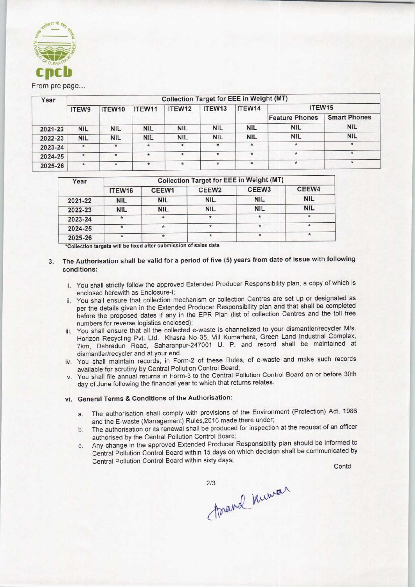

From pre page...

| Year    | <b>Collection Target for EEE in Weight (MT)</b> |            |            |            |                    |                   |                       |                     |  |  |  |
|---------|-------------------------------------------------|------------|------------|------------|--------------------|-------------------|-----------------------|---------------------|--|--|--|
|         | ITEW9                                           | ITEW10     | ITEW11     | ITEW12     | ITEW <sub>13</sub> | ITEW14            | ITEW15                |                     |  |  |  |
|         |                                                 |            |            |            |                    |                   | <b>Feature Phones</b> | <b>Smart Phones</b> |  |  |  |
| 2021-22 | <b>NIL</b>                                      | <b>NIL</b> | <b>NIL</b> | <b>NIL</b> | <b>NIL</b>         | <b>NIL</b>        | <b>NIL</b>            | <b>NIL</b>          |  |  |  |
| 2022-23 | <b>NIL</b>                                      | <b>NIL</b> | <b>NIL</b> | <b>NIL</b> | <b>NIL</b>         | <b>NIL</b>        | <b>NIL</b>            | <b>NIL</b>          |  |  |  |
| 2023-24 | $\star$                                         | $\star$    | $\ast$     | $\star$    | *                  | ÷                 | ÷                     |                     |  |  |  |
| 2024-25 | $\star$                                         | $*$        | $\ast$     | $\star$    | $\star$            | $\pmb{\hat{\pi}}$ |                       |                     |  |  |  |
| 2025-26 | $\star$                                         | $\star$    | $\star$    | $\ast$     |                    | $\star$           | $\star$               |                     |  |  |  |

| Year    | <b>Collection Target for EEE in Weight (MT)</b> |            |                   |                   |            |  |  |  |  |
|---------|-------------------------------------------------|------------|-------------------|-------------------|------------|--|--|--|--|
|         | ITEW16                                          | CEEW1      | CEEW <sub>2</sub> | CEEW <sub>3</sub> | CEEW4      |  |  |  |  |
| 2021-22 | <b>NIL</b>                                      | <b>NIL</b> | <b>NIL</b>        | <b>NIL</b>        | <b>NIL</b> |  |  |  |  |
| 2022-23 | <b>NIL</b>                                      | <b>NIL</b> | <b>NIL</b>        | <b>NIL</b>        | <b>NIL</b> |  |  |  |  |
| 2023-24 |                                                 | $\star$    |                   | $\star$           | $\star$    |  |  |  |  |
| 2024-25 |                                                 | 食          | $\star$           | 賣                 | ŵ.         |  |  |  |  |
| 2025-26 |                                                 | ٠          |                   | $\pm$             | 壹          |  |  |  |  |

- 3. The Authorisation shall be valid for a period of five (5) years from date of issue with following conditions:
	- i. You shall strictly follow the approved Extended Producer Responsibility plan, a copy of which is enclosed herewith as Enclosure-I;
	- ii. You shall ensure that collection mechanism or collection Centres are set up or designated as per the details given in the Extended Producer Responsibility plan and that shall be completed before the proposed dates if any in the EPR Plan (list of collection Centres and the toll free numbers for reverse logistics enclosed);
	- iii. You shall ensure that all the collected e-waste is channelized to your dismantler/recycler M/s. Horizon Recycling Pvt. Ltd. Khasra No 35, Vill Kumarhera, Green Land Industrial Complex, 7km, Dehradun Road, Saharanpur-247001 U. P. and record shall be maintained at dismantler/recycler and at your end. ens for reverse logistics enclosed);<br>
	shall ensure that all the collected e-waste is channelized to your<br>
	con Recycling Pvt. Ltd. Khasra No 35, Vill Kumarhera, Green L<br>
	Dehradun Road, Saharanpur-247001 U. P. and record s<br>
	- iv. You shall maintain records, in Form-2 of these Rules, of e-waste and make such records available for scrutiny by Central Pollution Control Board;
	- v. You shall file annual returns in Form-3 to the Central Pollution Control Board on or before 30th day of June following the financial year to which that returns relates.

## vi. General Terms & Conditions of the Authorisation:

- a.The authorisation shall comply with provisions of the Environment (Protection) Act, <sup>1986</sup> and the E-waste (Management) Rules,2016 made there under;
- authorised by the Central Pollution Control Board;
- a. The authorisation shall comply with provisions of the Environment (Protection) Act, 1986<br>
and the E-waste (Management) Rules, 2016 made there under;<br>
b. The authorisation or its renewal shall be produced for inspection c.Any change in the approved Extended Producer Responsibility plan should be informed to Central Pollution Control Board within 15 days on which decision shall be communicated by